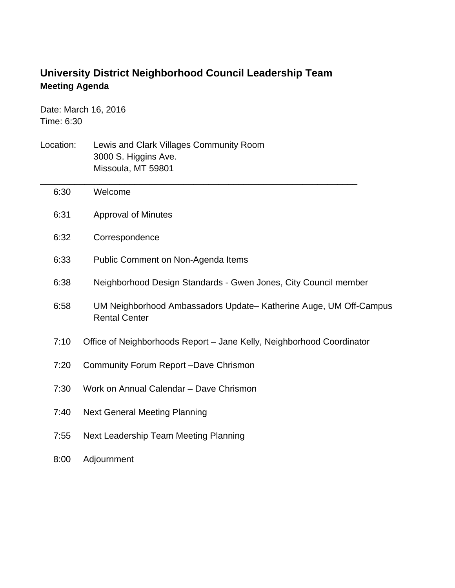## **University District Neighborhood Council Leadership Team Meeting Agenda**

Date: March 16, 2016 Time: 6:30

- Location: Lewis and Clark Villages Community Room 3000 S. Higgins Ave. Missoula, MT 59801 \_\_\_\_\_\_\_\_\_\_\_\_\_\_\_\_\_\_\_\_\_\_\_\_\_\_\_\_\_\_\_\_\_\_\_\_\_\_\_\_\_\_\_\_\_\_\_\_\_\_\_\_\_\_\_\_\_\_\_\_\_\_\_\_ 6:30 Welcome 6:31 Approval of Minutes 6:32 Correspondence 6:33 Public Comment on Non-Agenda Items 6:38 Neighborhood Design Standards - Gwen Jones, City Council member 6:58 UM Neighborhood Ambassadors Update– Katherine Auge, UM Off-Campus Rental Center 7:10 Office of Neighborhoods Report – Jane Kelly, Neighborhood Coordinator 7:20 Community Forum Report –Dave Chrismon 7:30 Work on Annual Calendar – Dave Chrismon 7:40 Next General Meeting Planning 7:55 Next Leadership Team Meeting Planning
	- 8:00 Adjournment